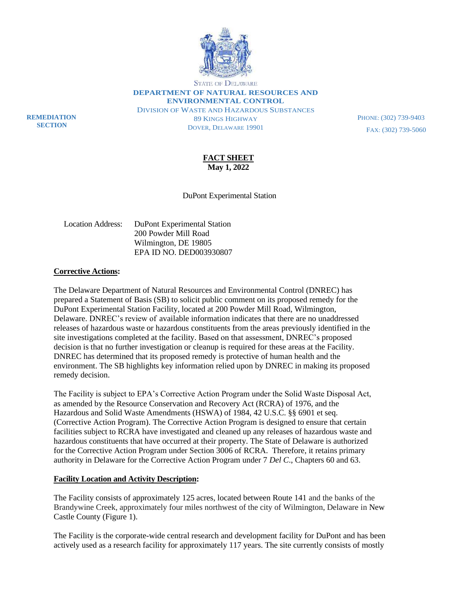

**STATE OF DELAWARE** 

**DEPARTMENT OF NATURAL RESOURCES AND ENVIRONMENTAL CONTROL**

DIVISION OF WASTE AND HAZARDOUS SUBSTANCES 89 KINGS HIGHWAY DOVER, DELAWARE 19901

PHONE: (302) 739-9403 FAX: (302) 739-5060

**FACT SHEET May 1, 2022**

DuPont Experimental Station

| Location Address: | DuPont Experimental Station |
|-------------------|-----------------------------|
|                   | 200 Powder Mill Road        |
|                   | Wilmington, DE 19805        |
|                   | EPA ID NO. DED003930807     |

#### **Corrective Actions:**

**REMEDIATION SECTION**

> The Delaware Department of Natural Resources and Environmental Control (DNREC) has prepared a Statement of Basis (SB) to solicit public comment on its proposed remedy for the DuPont Experimental Station Facility, located at 200 Powder Mill Road, Wilmington, Delaware. DNREC's review of available information indicates that there are no unaddressed releases of hazardous waste or hazardous constituents from the areas previously identified in the site investigations completed at the facility. Based on that assessment, DNREC's proposed decision is that no further investigation or cleanup is required for these areas at the Facility. DNREC has determined that its proposed remedy is protective of human health and the environment. The SB highlights key information relied upon by DNREC in making its proposed remedy decision.

> The Facility is subject to EPA's Corrective Action Program under the Solid Waste Disposal Act, as amended by the Resource Conservation and Recovery Act (RCRA) of 1976, and the Hazardous and Solid Waste Amendments (HSWA) of 1984, 42 U.S.C. §§ 6901 et seq. (Corrective Action Program). The Corrective Action Program is designed to ensure that certain facilities subject to RCRA have investigated and cleaned up any releases of hazardous waste and hazardous constituents that have occurred at their property. The State of Delaware is authorized for the Corrective Action Program under Section 3006 of RCRA. Therefore, it retains primary authority in Delaware for the Corrective Action Program under 7 *Del C*., Chapters 60 and 63.

#### **Facility Location and Activity Description:**

The Facility consists of approximately 125 acres, located between Route 141 and the banks of the Brandywine Creek, approximately four miles northwest of the city of Wilmington, Delaware in New Castle County (Figure 1).

The Facility is the corporate-wide central research and development facility for DuPont and has been actively used as a research facility for approximately 117 years. The site currently consists of mostly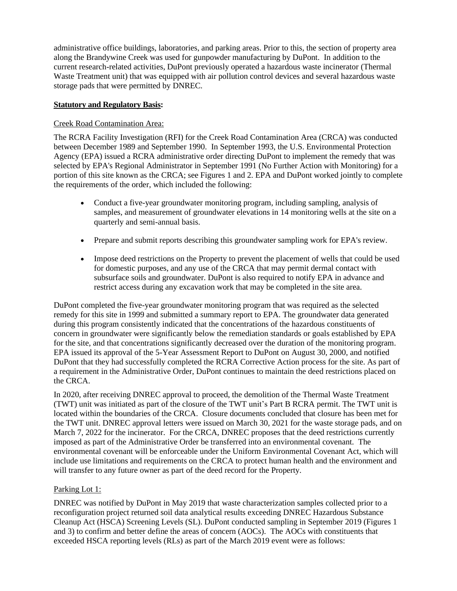administrative office buildings, laboratories, and parking areas. Prior to this, the section of property area along the Brandywine Creek was used for gunpowder manufacturing by DuPont. In addition to the current research-related activities, DuPont previously operated a hazardous waste incinerator (Thermal Waste Treatment unit) that was equipped with air pollution control devices and several hazardous waste storage pads that were permitted by DNREC.

## **Statutory and Regulatory Basis:**

## Creek Road Contamination Area:

The RCRA Facility Investigation (RFI) for the Creek Road Contamination Area (CRCA) was conducted between December 1989 and September 1990. In September 1993, the U.S. Environmental Protection Agency (EPA) issued a RCRA administrative order directing DuPont to implement the remedy that was selected by EPA's Regional Administrator in September 1991 (No Further Action with Monitoring) for a portion of this site known as the CRCA; see Figures 1 and 2. EPA and DuPont worked jointly to complete the requirements of the order, which included the following:

- Conduct a five-year groundwater monitoring program, including sampling, analysis of samples, and measurement of groundwater elevations in 14 monitoring wells at the site on a quarterly and semi-annual basis.
- Prepare and submit reports describing this groundwater sampling work for EPA's review.
- Impose deed restrictions on the Property to prevent the placement of wells that could be used for domestic purposes, and any use of the CRCA that may permit dermal contact with subsurface soils and groundwater. DuPont is also required to notify EPA in advance and restrict access during any excavation work that may be completed in the site area.

DuPont completed the five-year groundwater monitoring program that was required as the selected remedy for this site in 1999 and submitted a summary report to EPA. The groundwater data generated during this program consistently indicated that the concentrations of the hazardous constituents of concern in groundwater were significantly below the remediation standards or goals established by EPA for the site, and that concentrations significantly decreased over the duration of the monitoring program. EPA issued its approval of the 5-Year Assessment Report to DuPont on August 30, 2000, and notified DuPont that they had successfully completed the RCRA Corrective Action process for the site. As part of a requirement in the Administrative Order, DuPont continues to maintain the deed restrictions placed on the CRCA.

In 2020, after receiving DNREC approval to proceed, the demolition of the Thermal Waste Treatment (TWT) unit was initiated as part of the closure of the TWT unit's Part B RCRA permit. The TWT unit is located within the boundaries of the CRCA. Closure documents concluded that closure has been met for the TWT unit. DNREC approval letters were issued on March 30, 2021 for the waste storage pads, and on March 7, 2022 for the incinerator. For the CRCA, DNREC proposes that the deed restrictions currently imposed as part of the Administrative Order be transferred into an environmental covenant. The environmental covenant will be enforceable under the Uniform Environmental Covenant Act, which will include use limitations and requirements on the CRCA to protect human health and the environment and will transfer to any future owner as part of the deed record for the Property.

# Parking Lot 1:

DNREC was notified by DuPont in May 2019 that waste characterization samples collected prior to a reconfiguration project returned soil data analytical results exceeding DNREC Hazardous Substance Cleanup Act (HSCA) Screening Levels (SL). DuPont conducted sampling in September 2019 (Figures 1 and 3) to confirm and better define the areas of concern (AOCs). The AOCs with constituents that exceeded HSCA reporting levels (RLs) as part of the March 2019 event were as follows: